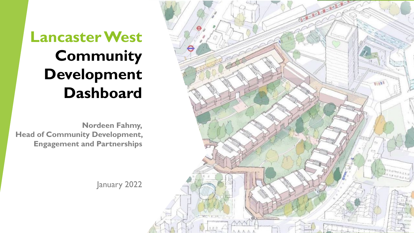# **Lancaster West Community Development Dashboard**

**Nordeen Fahmy, Head of Community Development, Engagement and Partnerships**

January 2022

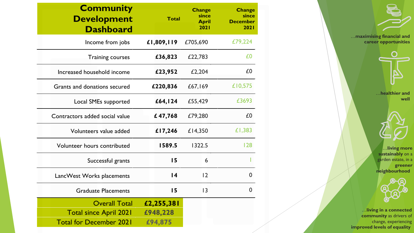| <b>Community</b><br><b>Development</b><br><b>Dashboard</b>                              | <b>Total</b>                      | <b>Change</b><br>since<br><b>April</b><br>2021 | <b>Change</b><br>since<br><b>December</b><br>2021 |
|-----------------------------------------------------------------------------------------|-----------------------------------|------------------------------------------------|---------------------------------------------------|
| Income from jobs                                                                        | £1,809,119                        | £705,690                                       | £79,224                                           |
| <b>Training courses</b>                                                                 | £36,823                           | £22,783                                        | £0                                                |
| Increased household income                                                              | £23,952                           | £2,204                                         | £0                                                |
| Grants and donations secured                                                            | £220,836                          | £67,169                                        | £10,575                                           |
| Local SMEs supported                                                                    | £64,124                           | £55,429                                        | £3693                                             |
| Contractors added social value                                                          | £47,768                           | £79,280                                        | £0                                                |
| Volunteers value added                                                                  | £17,246                           | £14,350                                        | £1,383                                            |
| Volunteer hours contributed                                                             | 1589.5                            | 1322.5                                         | 128                                               |
| Successful grants                                                                       | 15                                | 6                                              |                                                   |
| LancWest Works placements                                                               | 14                                | 12                                             | $\mathbf{0}$                                      |
| <b>Graduate Placements</b>                                                              | 15                                | 3                                              | 0                                                 |
| <b>Overall Total</b><br><b>Total since April 2021</b><br><b>Total for December 2021</b> | £2,255,381<br>£948,228<br>£94,875 |                                                |                                                   |

…**maximising financial and career opportunities**



…**healthier and well**



…**living more sustainably** on a garden estate, in a

**greener neighbourhood**



…**living in a connected community** as drivers of change, experiencing **improved levels of equality**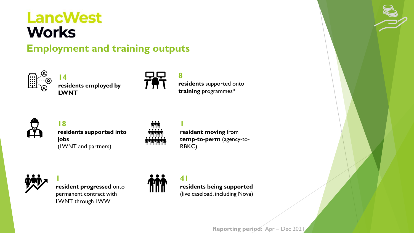## **LancWest Works**

**Employment and training outputs**



**14 residents employed by LWNT**



**8 residents** supported onto **training** programmes\*



**18 residents supported into jobs** (LWNT and partners)



**1 resident moving** from **temp-to-perm** (agency-to-RBKC)



**1 resident progressed** onto permanent contract with LWNT through LWW



**41 residents being supported** (live caseload, including Nova)

**Reporting period:** Apr – Dec 202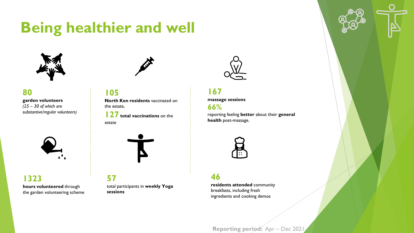## **Being healthier and well**



#### **80**

**garden volunteers** *(25 – 30 of which are substantive/regular volunteers)*



#### **1323 hours volunteered** through the garden volunteering scheme



#### **105**

**North Ken residents** vaccinated on the estate,

**127 total vaccinations** on the estate



**57** total participants in **weekly Yoga sessions**



#### **167 massage sessions 66%**

reporting feeling **better** about their **general health** post-massage.



#### **46**

**residents attended** community breakfasts, including fresh ingredients and cooking demos

**Reporting period:** Apr – Dec 202